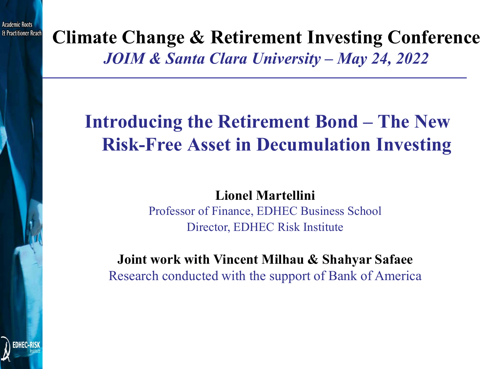**Climate Change & Retirement Investing Conference** *JOIM & Santa Clara University – May 24, 2022*

# **Introducing the Retirement Bond – The New Risk-Free Asset in Decumulation Investing**

**Lionel Martellini**

Professor of Finance, EDHEC Business School Director, EDHEC Risk Institute

**Joint work with Vincent Milhau & Shahyar Safaee** Research conducted with the support of Bank of America

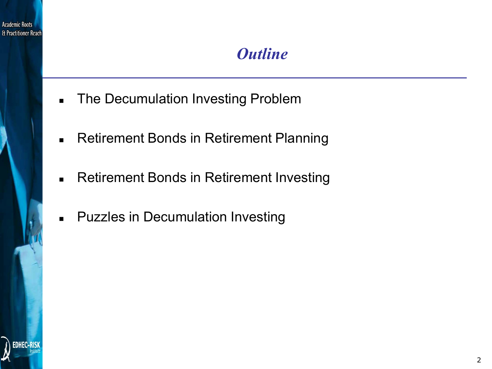

## *Outline*

- **The Decumulation Investing Problem**
- **Retirement Bonds in Retirement Planning**
- **Retirement Bonds in Retirement Investing**
- **-** Puzzles in Decumulation Investing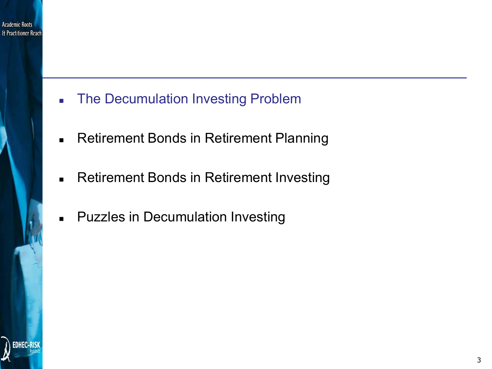

- **The Decumulation Investing Problem**
- **Retirement Bonds in Retirement Planning**
- **Retirement Bonds in Retirement Investing**
- **-** Puzzles in Decumulation Investing

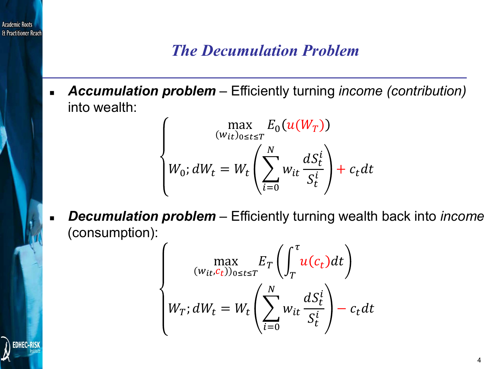### *The Decumulation Problem*

 *Accumulation problem* – Efficiently turning *income (contribution)*  into wealth:

> max  $(w_{it})_{0 \leq t \leq T}$  $E_0(u(W_T))$  $W_0$ ;  $dW_t = W_t \big|$  $l=0$ <u>N</u>  $W_i$  $dS_t^l$  $S_t^{\mu}$  $\frac{1}{i}$  +  $c_t$  dt

 *Decumulation problem* – Efficiently turning wealth back into *income*  (consumption):

$$
\max_{(w_{it}, c_t))_{0 \le t \le T}} E_T \left( \int_T^{\tau} u(c_t) dt \right)
$$

$$
W_T; dW_t = W_t \left( \sum_{i=0}^N w_{it} \frac{dS_t^i}{S_t^i} \right) - c_t dt
$$

cademic Roots H Practitioner Reac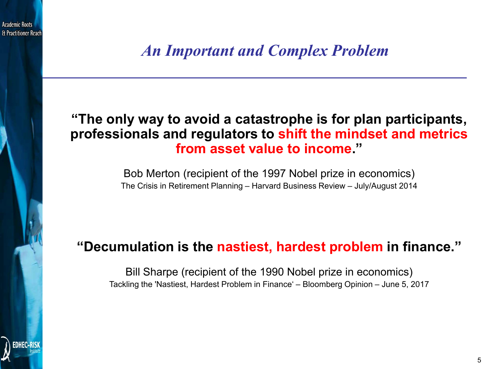& Practitioner Reac

*An Important and Complex Problem*

### **"The only way to avoid a catastrophe is for plan participants, professionals and regulators to shift the mindset and metrics from asset value to income."**

Bob Merton (recipient of the 1997 Nobel prize in economics) The Crisis in Retirement Planning – Harvard Business Review – July/August 2014

### **"Decumulation is the nastiest, hardest problem in finance."**

Bill Sharpe (recipient of the 1990 Nobel prize in economics) Tackling the 'Nastiest, Hardest Problem in Finance' – Bloomberg Opinion – June 5, 2017

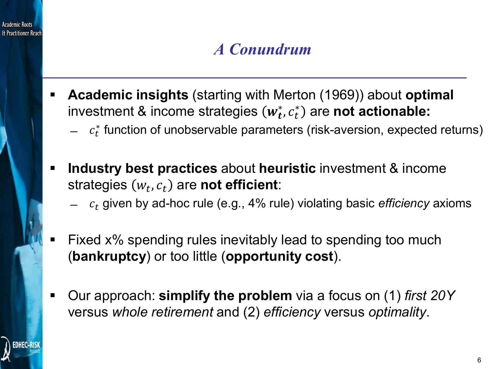

# *A Conundrum*

- **Academic insights** (starting with Merton (1969)) about **optimal** investment & income strategies  $(w_t^*, c_t^*)$  are **not actionable:** 
	- $\hspace{0.1 cm} c_{t}^{*}$  function of unobservable parameters (risk-aversion, expected returns)
- **Industry best practices** about **heuristic** investment & income strategies  $(w_t, c_t)$  are **not efficient**:
	- ̶ given by ad-hoc rule (e.g., 4% rule) violating basic *efficiency* axioms
- Fixed x% spending rules inevitably lead to spending too much (**bankruptcy**) or too little (**opportunity cost**).
- Our approach: **simplify the problem** via a focus on (1) *first 20Y* versus *whole retirement* and (2) *efficiency* versus *optimality*.

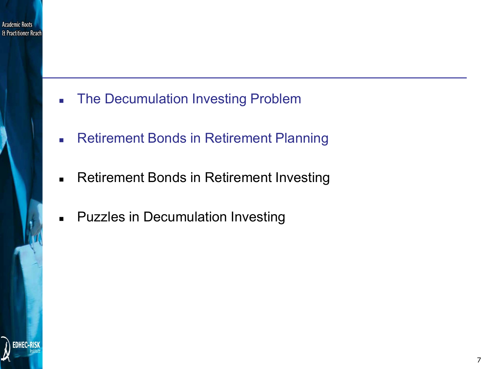

- **The Decumulation Investing Problem**
- **Retirement Bonds in Retirement Planning**
- **Retirement Bonds in Retirement Investing**
- **-** Puzzles in Decumulation Investing

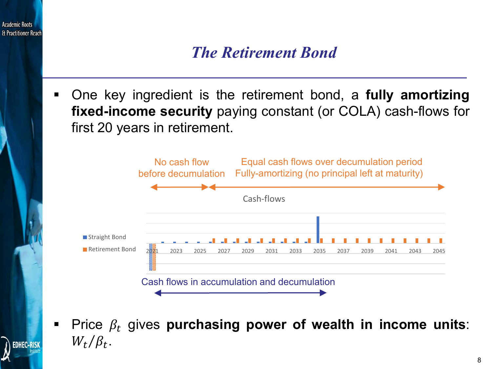

**Price**  $\beta_t$  **gives purchasing power of wealth in income units:**  $W_t/\beta_t$ .

**EDHEC-RISK**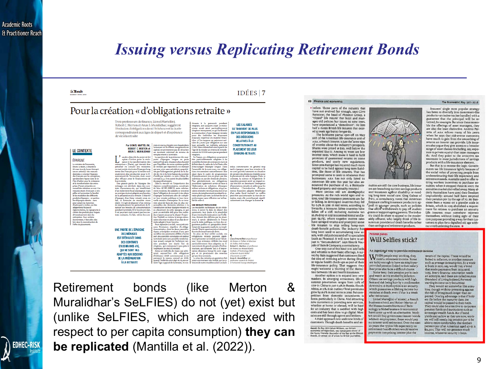**EDHEC-RISK** 

### *Issuing versus Replicating Retirement Bonds*

#### fe Monde

### $IDÉES | 7$

**LES SALARIÉS** 

**SE TROUVENT DE PLUS** 

**EN PLUS RESPONSABLES** 

DES DÉCISIONS

**RELATIVES À LA** 

**CONSTITUTION ET AU** 

**PLACEMENT DE LEUR** 

**ÉPARCNE-RETRAITE** 

### Pour la création « d'obligations retraite »

Trois professeurs de finance, Lionel Martellini, Robert C. Merton et Arun S. Muralidhar, suggèrent l'émission d'obligations dont l'échéance et la durée correspondraient aux âges de départ et d'espérance de vie à la retraite

### **LE CONTEXTE**

ÉPARGNE Le ministre de l'écon Bruno Le Matre, a dévollé le 28 mars lors du forum Entrepr ses en action(s) I des mesure destinées à orienter l'épargne<br>des Français vers les entrepris des Français vers les serbreprises de la présence de la présence de la braccion pour la cristance de la transformation des entreprises (Paris de la transformation des entreprises (Paris de la transformation des entreprise d'autre part a inciter, par des<br>siliègementaires, les épargnants à<br>réglementaires, les épargnants à<br>choisir des produïts plus risqués<br>d'investissement dans les<br>entreorises. Pour certains d'investissement dans le<br>entreprises. Pour certair<br>économistes difestedime istos, il faut aller plu loin dans la reconstruction de

Par LIONEL MARTELLINI, en euros, reputes non ris<br>suas où ils offrent une a ROBERT C. MERTON et<br>ARUN S. MURALIDHAR apital, ne permettent pas de sécuriser<br>un montant minimal de revenu de mplacement à la retraite. un des objectifs du projet de loi La question de la pertinence des supsplan d'action pour la crois-<br>sance et la transformation des<br>entreprises » (Pacte), qui devrait être ports d'épargne longue se pose<br>aujourd'hui avec d'autant plus d'acuité que l'équilibre de notre système public de retraite par répartition est menacé

présenté en conseil des ministres<br>en mai, est de réorienter l'épargne long<br>terme des Français pour la rendre non par une crise sans précédent, caractéri-<br>sée par l'allongement général de la duseulement plus productive pour le fi-<br>nancement de l'économie, mais aussi<br>plus efficace pour le financement de se par vient la forte baisse du nombre<br>d'actifs par retraité : ce ratio s'élève dé-<br>sormais à 2,2, il est parmi les plus faibles ur retraiti des pays développés.<br>Dans la mesure où l'importance de: régimes complémentaires, constituée<br>du bloc AGIRC-ARRCQ reste relative-

kur retnine.<br><br/> en grande partie de l'épargne des mêmes est stérilisée dans des cortras d'assurance-vei, qui bénéficient d'un traitement fits<br>al swentiges en des condustres de la sembre des morts de la préparation à la ou nos Acuñas, raposes resumeral instantoniens en tous and product means to denote the state of dependence of the dependent of dependent of the product of equation of experime in the state product of the product of the pr rempuesanten la consommation<br>
non de leur épargne-retraite et<br>
ndant la retraite. Si le besoin est clair, i au placement de cette épargne, ce qui<br>
st pourtant mal couvert par les con-<br>
pose un véritable défi pour des indiv il est pourtant mal couvert par les con-<br>trats existants. En fait, même les con-

UNE PARTIE DE L'ÉPARGNE **DES MÉNAGES EST STÉRIUSÉE DANS DES CONTRATS D'ASSURANCE-VIE OUI NE SONT PAS ADAPTÉS AUX BESOINS** 

**DE LA PRÉPARATION** 

**A LA RETRAITE** 

tinuera $\grave{\bf a}$ le percevoir pendant miss<br/>na col juação a constant missa excit ainsi percetament ce qui facilite<br/>irretation and the missa simple estrate la construction dure époxyme de la constantion pour des indiv l'âge de la retraite un revenu de rement de 10000 euros par an pendar vingtans.<br>En France, ces obligations pours tre particu ent adaptées à d lles formes de contrats en

lus géné

définir dans le cadre de la loi Pacte afir d'encourager l'épargne longue. Dans<br>l'ensemble de la zone euro, ces obliga-<br>tions trouveraient naturellement leur ard à épargner pour leur r ne sont que très rarement en situation ous a double cadre de programmer<br>d'investissement mis en place par des<br>individus ou par des fonds de pension prendre des décisions éclairées pou ent de cette épargne. Dan texte, la science et l'ingénierie f ourraient également servir de base à<br>élaboration de solutions d'épargne<br>rélant actions et obligations, et qui se-<br>sient orientées vers la production d'un :venu de remplacement pendant la re-<br>raite plutôt que vers la recherche de la<br>erformance sans réflexion sur la fina-

Arun S. Muralidhar cs

uncières peuvent avoir un impact so-<br>al très fort en favorisant l'émergence 'innovations simples et utiles pour les<br>sdividus. L'introduction d'instru ments financiers adaptés bénéficiant d'un cadre fiscal incitatif ne suffira peut-être pas à résoure la crise des re $\tan\theta$ traites, mais elle contribuerait significativement à en changer la donne l $\bullet$ 

ions, à savoir la date de départ des<br>paiements, leur durée et la possibilité pose un ventable den pour des maivr<br>dus n'ayant pas pour la plupart l'exper<br>tise. l'intérêt ou même le temps néces d'une éventuelle indexation sur l'infla on, doivent être définies par les aires à la mise en place d'un plan de re eurs, à savoir idéalen ent le Trés raite adapté à leurs besoins pour la dette publique, ou bien des or traite adapté à leurs besoins.<br>Pour répondre à ce défi, nous préconissons  $\mathcal I$ émission régulière  $\mathcal G$  sobligations retraites, dont les deux caractéristiques principales serients d'une part un début des pairments diffé ganismes publics ou parapublics béné<br>ficiant de la garantie explicite ou impli<br>cite de l'Etat et ayant vocation à émettr les stocks importants de dette.<br>En plus de leur utilité sociale, ce En plus de leur utilité sociale, ces<br>leur traité peuvent également présentent unintérite pour le teur .<br>Leur chéchance différée les rend<br>particulièrement bien adaptées un fi-<br>particulièrement bien adaptées un fi-<br>particul part des annuités containtes en valeur<br>parties de moins de container de la container soien se sées pendant une durée fixe de<br>sées pendant une durée fixe de visigitain, qui correspond à peu près à<br>l'espirance de vie à la r Robert C. Merton est profes e finance au Massachuset<br>istitute of Technology (MIT

ment, ces oblig

Retirement bonds (like Merton & Muralidhar's SeLFIES) do not (yet) exist but (unlike SeLFIES, which are indexed with respect to per capita consumption) **they can be replicated** (Mantilla et al. (2022)).

#### 68 Finance and economics

before. Those parts of the industry that have not evolved fast enough, says Clive<br>Bannister, the head of Phoenix Group, a "closed" life insurer that buys and manages old policies but issues no new ones, have experienced a "demolition". He lists half a dozen British life insurers that existed 15 years ago but no longer do.

The lacklustre partial spin-off on May toth of the American life-insurance unit of AXA, a French insurer, is just the latest sign of worries about the industry's prospects. Shares were priced at \$20, well below the expected \$24.27. Among its woes are low interest rates, which make it hard to fulfil promises of guaranteed returns on some products, and costly new regulations. Since 2016 Europe has required much more capital to be held against long-term liabilities, like those of life insurers. That has prompted some to seek to rebalance their businesses. AXA has not only listed its American life arm this year but also announced the purchase of x1, a Bermuda-

based property-and-casualty insurer. ers are branching out into savings products More serious still are demographic pressures. As the rich world ages and retires, total life-insurance premiums are flat<br>or falling. In developed countries they fell by 0.5% in 2016 in real terms, according to Swiss Re, a reinsurer. Some countries have<br>fallen off a cliff, including Australia (an 18.2% drop in 2017 in nominal terms) and Japan (11.3%), where negative interest rates have savaged returns and prompted some life insurers to stop selling lump-sum than savings and retirement products. death-benefit policies. The industry has

long been used to accumulating new as-<br>sets, with old policies sold off to specialists (such as Phoenix). It will now have to adjust to "decumulation", says Henrik Naujoks of Bain & Company, a consultancy.<br>One way out of this bind is to add bells

and whistles to their basic offerings. A survey by Bain suggested that customers liked the idea of receiving advice during illnes or regular health check-ups as part of their life-insurance policy. That suggests they might welcome a blurring of the distinction between life and health insurance.

Another option is to expand into new markets. In emerging economies, life-in surance penetration ranges from 2.6% of GDP in China to just 0.4% in Russia. (South Africa, at 11%, is an outlier.) Total premiums grew by 16.9% in real terms in 2016. But com petition from domestic incumbents is fierce, particularly in China. And attracting new customers or providing new services,<br>whether at home or abroad, will be hard for an industry that is saddled with high costs and has been slow to go digital. Most sales are still through agents and brokers.<br>A third approach is to seek new kinds of

customers. Though death benefits and an-

Award: On May 16th Callum Williams, our Britain<br>economics correspondent, was named joint winner of<br>the Young Financial Journalist of the Year at the Win<br>Awards, an annual set of prizes for British journalist

#### The Economist May 19th 2018

Insurers' single most popular strategy has been to diversify into investment-like products-an index-tracker bundled with a guarantee that the principal will be re-<br>turned, for example. But since these resemble the offerings of asset managers, they are also the least distinctive. Antimo Perretta of AXA echoes many of his peers when he says that risk-averse customers have much to gain from the smoothing of returns an insurer can provide. Life insurers also argue they give access to a broader range of asset classes (including, say, exposure to private equity) than asset managers do. And they point to the attractive tax treatment in most jurisdictions of savings products with a life-insurance element. But that is to reverse the logic. Govern

ments tax life insurance lightly because of the social value of protecting people from underestimating their life expectancy and retirement needs. Australia used to offer retiring workers incentives to purchase annuities; when it stopped these in 2007, the annuities market shrivelled away. Many elderly Australians have used their freedom imprudently: around half have emptied their pension pot by the age of 70. Mr Bannister fears a repeat on a grander scale in Britain, which in 2015 abolished a requirement for retirees to purchase an annuity. Life insurers must somehow reinvent themselves without losing sight of their core purpose: providing a way for their customers to plan for a dignified old age without overburdening the state.

#### Pension bonds **Will Selfies stick?**

nuities are still the core business, life insur

An ingenious way to provide retirement income

 $\mathbf{W}_{\textrm{need a retirement income. Some}}^{\textrm{HEN people stop working, they}}$  are lucky enough to have an employervided pension linked to their salary. Everyone else faces a difficult choice. Some keep their pension pot in cash

and watch as it is eroded by inflation. Others use savings products with high fees and risk being hurt by a stockmarket<br>downturn. A third option is an annuity, which guarantees a lifelong income but vanishes at death, even if that is a week after ret

Lionel Martellini of EDHEC, a French iness school, and Robert Merton of the Massachusetts Institute of Technology (a Nobel laureate in economics) have come up with an alternative. Workers would buy government-issued bonds while in employment; these would pay no interest until retirement. Over the next 20 years (the typical life expectancy on retirement) bondholders would receive payments comprising interest plus the

return of the capital. These would be linked to inflation, or another measure such as average consumption. So a worker born in 1970, say, would buy a bond that made payments from 2035 until 2055. Every financial innovation needs an acronym, and these are called seurins (Standard of Living Indexed, Forwardstarting Income-only Securities

They would act somewhat like annuities, though without protecting against the risk of living much longer than expected. One big advantage is that if holders die before the maturity date, the capital would be passed to their heirs. They could also be attractive to corporate pension funds and institutions such as sovereign-wealth funds. But if bond yields stay as low as they are now, work-Figure 3 and the data big pension pot to be<br>able to retire comfortably. The median<br>pension pot of an American aged 40-55 is \$14,500. That will not generate much income, whatever security it buys.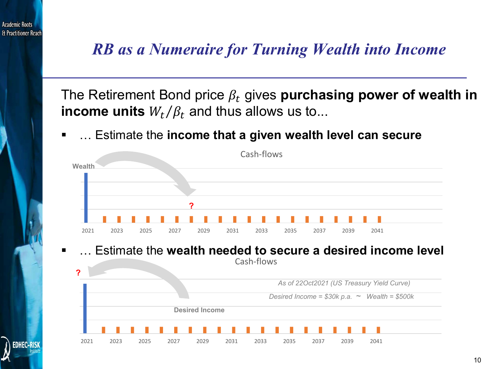

# *RB as a Numeraire for Turning Wealth into Income*

The Retirement Bond price  $\beta_t$  gives **purchasing power of wealth in income units**  $W_t/\beta_t$  and thus allows us to...

… Estimate the **income that a given wealth level can secure**



### … Estimate the **wealth needed to secure a desired income level** Cash-flows

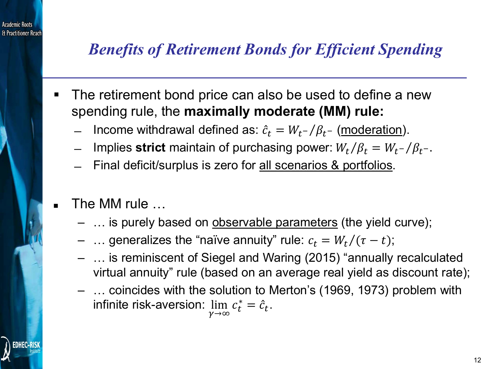

# *Benefits of Retirement Bonds for Efficient Spending*

- The retirement bond price can also be used to define a new spending rule, the **maximally moderate (MM) rule:**
	- − Income withdrawal defined as:  $\hat{c}_t = W_{t^-}/\beta_{t^-}$  (<u>moderation</u>).
	- Implies **strict** maintain of purchasing power:  $W_t/\beta_t = W_t^{-}/\beta_t$ .
	- ̶ Final deficit/surplus is zero for all scenarios & portfolios.
- The MM rule …
	- ... is purely based on observable parameters (the yield curve);
	- ... generalizes the "naïve annuity" rule:  $c_t = W_t/(\tau t)$ ;
	- … is reminiscent of Siegel and Waring (2015) "annually recalculated virtual annuity" rule (based on an average real yield as discount rate);
	- … coincides with the solution to Merton's (1969, 1973) problem with infinite risk-aversion:  $\lim\limits_{\varkappa\to\varkappa}$  $\lim_{\gamma \to \infty} c_t^* = \hat{c}_t.$

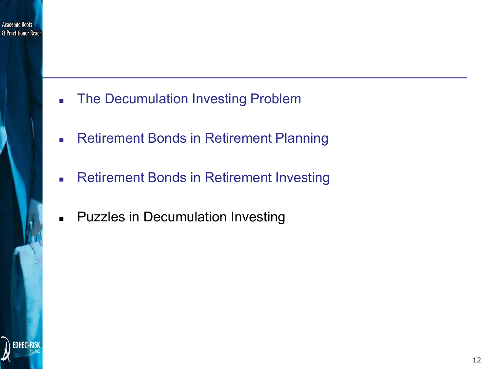

- **The Decumulation Investing Problem**
- **Retirement Bonds in Retirement Planning**
- **Retirement Bonds in Retirement Investing**
- **Puzzles in Decumulation Investing**

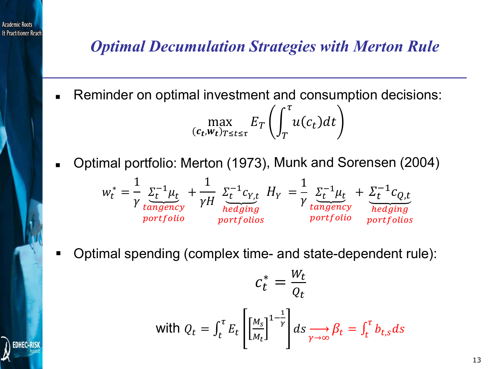

**EDHEC-RISI** 

## *Optimal Decumulation Strategies with Merton Rule*

Reminder on optimal investment and consumption decisions:

$$
\max_{(c_t, w_t)_{T \le t \le \tau}} E_T \left( \int_T^{\tau} u(c_t) dt \right)
$$

Optimal portfolio: Merton (1973) , Munk and Sorensen (2004)

$$
w_t^* = \frac{1}{\gamma} \underbrace{\Sigma_t^{-1} \mu_t}_{tangency} + \frac{1}{\gamma H} \underbrace{\Sigma_t^{-1} c_{Y,t}}_{hedging} H_Y = \frac{1}{\gamma} \underbrace{\Sigma_t^{-1} \mu_t}_{tangency} + \underbrace{\Sigma_t^{-1} c_{Q,t}}_{hedging}
$$
  
*portfolio*  
*portfolio*  
*portfolio*

Optimal spending (complex time- and state-dependent rule):

$$
c_t^* = \frac{W_t}{Q_t}
$$
  
with  $Q_t = \int_t^{\tau} E_t \left[ \left[ \frac{M_s}{M_t} \right]^{1-\frac{1}{\gamma}} \right] ds \underset{\gamma \to \infty}{\longrightarrow} \beta_t = \int_t^{\tau} b_{t,s} ds$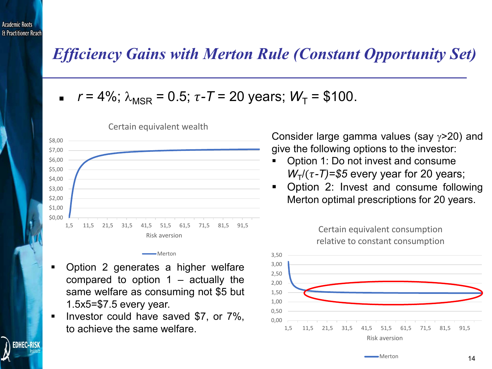**EDHEC-RISK** 

### *Efficiency Gains with Merton Rule (Constant Opportunity Set)*

$$
r = 4\%; \lambda_{MSR} = 0.5; \tau - T = 20 \text{ years}; W_T = \$100.
$$



Certain equivalent wealth

Merton

- Option 2 generates a higher welfare compared to option  $1 -$  actually the same welfare as consuming not \$5 but 1.5x5=\$7.5 every year.
- Investor could have saved \$7, or 7%, to achieve the same welfare.

Consider large gamma values (say γ>20) and give the following options to the investor:

- Option 1: Do not invest and consume  $W_T/(\tau - T)$ =\$5 every year for 20 years;
- Option 2: Invest and consume following Merton optimal prescriptions for 20 years.

Certain equivalent consumption

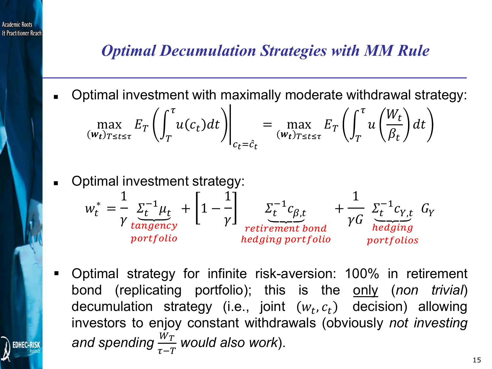

## *Optimal Decumulation Strategies with MM Rule*

Optimal investment with maximally moderate withdrawal strategy:

$$
\max_{(w_t)_{T \le t \le \tau}} E_T \left( \int_T^{\tau} u(c_t) dt \right) \Big|_{c_t = \hat{c}_t} = \max_{(w_t)_{T \le t \le \tau}} E_T \left( \int_T^{\tau} u \left( \frac{W_t}{\beta_t} \right) dt \right)
$$

Optimal investment strategy:

$$
w_t^* = \frac{1}{\gamma} \underbrace{\Sigma_t^{-1} \mu_t}_{\text{tangency}} + \left[1 - \frac{1}{\gamma}\right] \underbrace{\Sigma_t^{-1} c_{\beta,t}}_{\text{retriement bond}} + \frac{1}{\gamma G} \underbrace{\Sigma_t^{-1} c_{\gamma,t}}_{\text{hedging}} G_Y
$$
\n
$$
_{portfolio} \underbrace{\Sigma_t^{-1} c_{\beta,t}}_{\text{hedging portfolio}} + \underbrace{\Sigma_t^{-1} c_{\gamma,t}}_{\text{portfolios}}
$$

 Optimal strategy for infinite risk-aversion: 100% in retirement bond (replicating portfolio); this is the only (*non trivial*) decumulation strategy (i.e., joint  $(w_t, c_t)$  decision) allowing investors to enjoy constant withdrawals (obviously *not investing and spending*  $\tau-T$ *would also work*).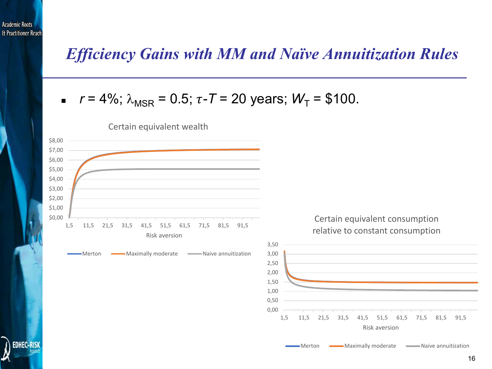**EDHEC-RISK** 

### *Efficiency Gains with MM and Naïve Annuitization Rules*

$$
r = 4\%; \lambda_{MSR} = 0.5; \tau - T = 20 \text{ years}; W_T = \$100.
$$



Certain equivalent wealth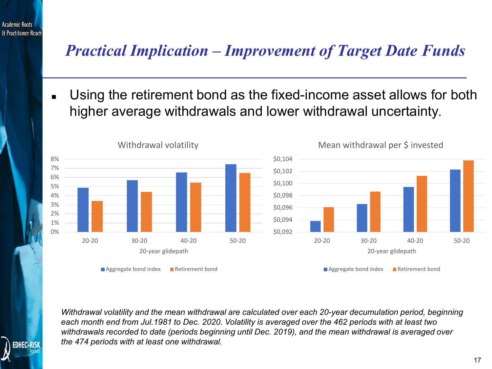

# *Practical Implication – Improvement of Target Date Funds*

 Using the retirement bond as the fixed-income asset allows for both higher average withdrawals and lower withdrawal uncertainty.



*Withdrawal volatility and the mean withdrawal are calculated over each 20-year decumulation period, beginning each month end from Jul.1981 to Dec. 2020. Volatility is averaged over the 462 periods with at least two withdrawals recorded to date (periods beginning until Dec. 2019), and the mean withdrawal is averaged over the 474 periods with at least one withdrawal.*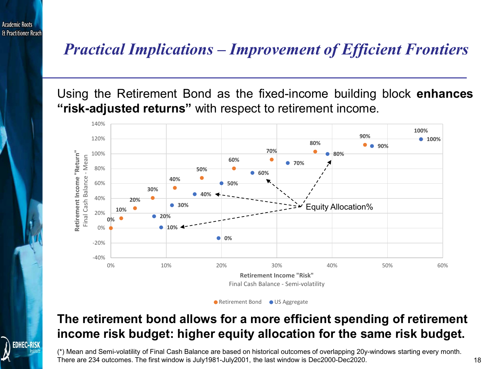## *Practical Implications – Improvement of Efficient Frontiers*

Using the Retirement Bond as the fixed-income building block **enhances "risk-adjusted returns"** with respect to retirement income.



● Retirement Bond ● US Aggregate

### **The retirement bond allows for a more efficient spending of retirement income risk budget: higher equity allocation for the same risk budget.**

(\*) Mean and Semi-volatility of Final Cash Balance are based on historical outcomes of overlapping 20y-windows starting every month. There are 234 outcomes. The first window is July1981-July2001, the last window is Dec2000-Dec2020.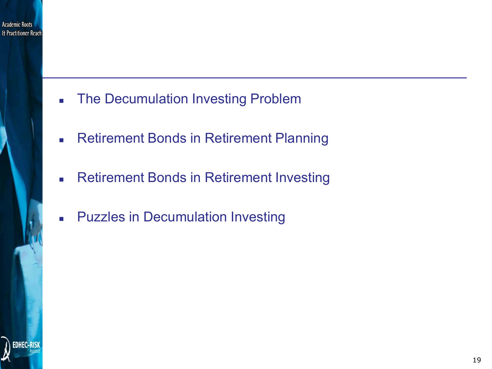

- **The Decumulation Investing Problem**
- **Retirement Bonds in Retirement Planning**
- **Retirement Bonds in Retirement Investing**
- **Puzzles in Decumulation Investing**